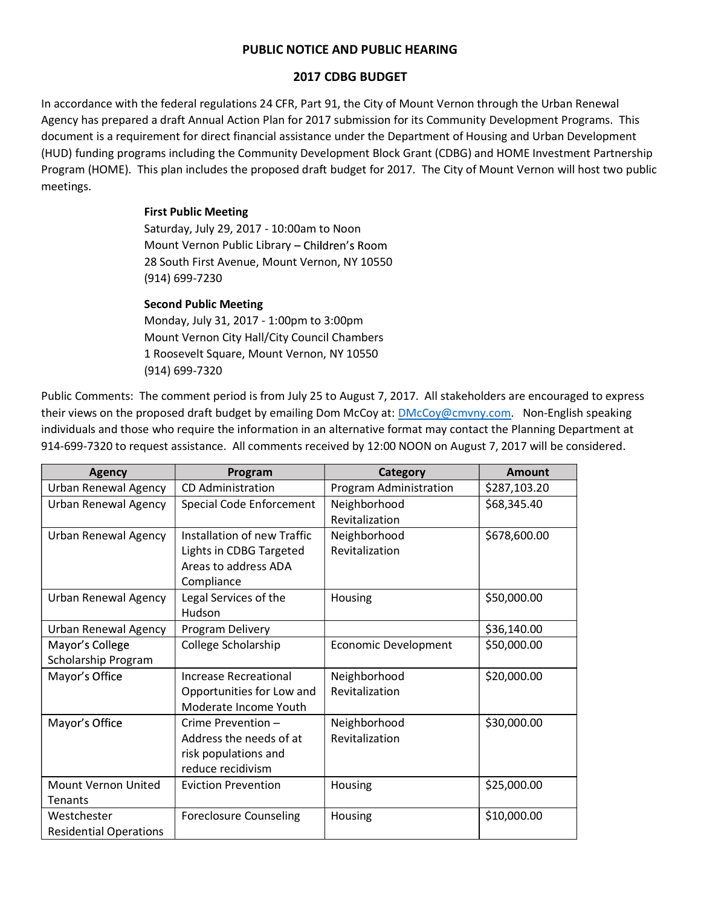# PUBLIC NOTICE AND PUBLIC HEARING

# 2017 CDBG BUDGET

In accordance with the federal regulations 24 CFR, Part 91, the City of Mount Vernon through the Urban Renewal Agency has prepared a draft Annual Action Plan for 2017 submission for its Community Development Programs. This document is a requirement for direct financial assistance under the Department of Housing and Urban Development (HUD) funding programs including the Community Development Block Grant (CDBG) and HOME Investment Partnership Program (HOME). This plan includes the proposed draft budget for 2017. The City of Mount Vernon will host two public meetings. **PUBLIC NOTICE AND PUBLIC HEARING**<br> **2017 CDBG BUDGET**<br>
the federal regulations 24 CFR, Part 91, the City of Mount Vernon through the Urban Renewal<br>
d a draft Annual Action Plan for 2017 submission for its Community Develo Agency has prepared a draft Annual Action Plan for 2017 submission for its Community Development Programs. This<br>
document is a requirement for direct financial assistance under the Department of Housing and Urban Developme

## First Public Meeting

Mount Vernon Public Library - Children's Room 28 South First Avenue, Mount Vernon, NY 10550 (914) 699-7230

### Second Public Meeting

Monday, July 31, 2017 - 1:00pm to 3:00pm Mount Vernon City Hall/City Council Chambers 1 Roosevelt Square, Mount Vernon, NY 10550 (914) 699-7320

their views on the proposed draft budget by emailing Dom McCoy at: DMcCoy@cmvny.com. Non-English speaking individuals and those who require the information in an alternative format may contact the Planning Department at 914-699-7320 to request assistance. All comments received by 12:00 NOON on August 7, 2017 will be considered.

| <b>Agency</b>                 | Program                       | <b>Category</b>             | <b>Amount</b> |
|-------------------------------|-------------------------------|-----------------------------|---------------|
| Urban Renewal Agency          | CD Administration             | Program Administration      | \$287,103.20  |
| Urban Renewal Agency          | Special Code Enforcement      | Neighborhood                | \$68,345.40   |
|                               |                               | Revitalization              |               |
| Urban Renewal Agency          | Installation of new Traffic   | Neighborhood                | \$678,600.00  |
|                               | Lights in CDBG Targeted       | Revitalization              |               |
|                               | Areas to address ADA          |                             |               |
|                               | Compliance                    |                             |               |
| <b>Urban Renewal Agency</b>   | Legal Services of the         | Housing                     | \$50,000.00   |
|                               | Hudson                        |                             |               |
| Urban Renewal Agency          | Program Delivery              |                             | \$36,140.00   |
| Mayor's College               | College Scholarship           | <b>Economic Development</b> | \$50,000.00   |
| Scholarship Program           |                               |                             |               |
| Mayor's Office                | Increase Recreational         | Neighborhood                | \$20,000.00   |
|                               | Opportunities for Low and     | Revitalization              |               |
|                               | Moderate Income Youth         |                             |               |
| Mayor's Office                | Crime Prevention -            | Neighborhood                | \$30,000.00   |
|                               | Address the needs of at       | Revitalization              |               |
|                               | risk populations and          |                             |               |
|                               | reduce recidivism             |                             |               |
| Mount Vernon United           | <b>Eviction Prevention</b>    | Housing                     | \$25,000.00   |
| <b>Tenants</b>                |                               |                             |               |
| Westchester                   | <b>Foreclosure Counseling</b> | Housing                     | \$10,000.00   |
| <b>Residential Operations</b> |                               |                             |               |